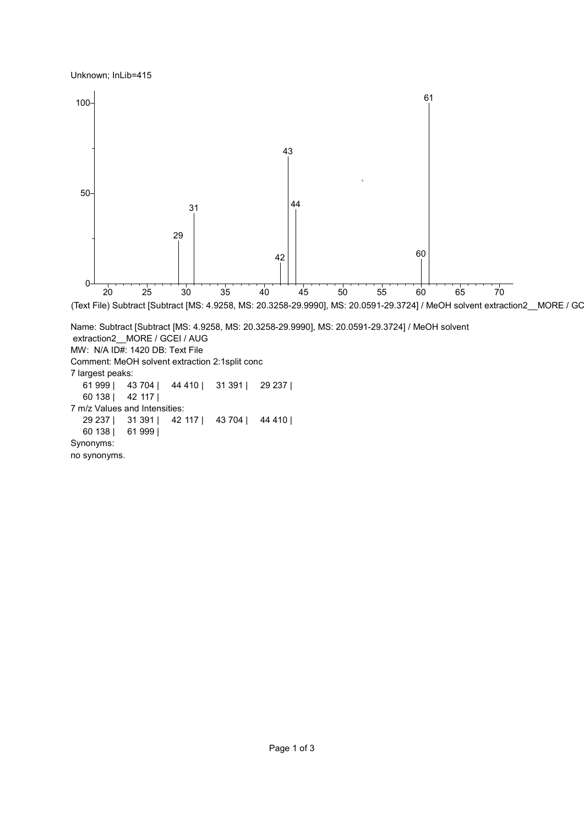## Unknown; InLib=415





```
Name: Subtract [Subtract [MS: 4.9258, MS: 20.3258-29.9990], MS: 20.0591-29.3724] / MeOH solvent
extraction2    MORE / GCEI / AUG
MW: N/A ID#: 1420 DB: Text File
Comment: MeOH solvent extraction 2:1split conc
7 largest peaks: 
  61 999 | 43 704 | 44 410 | 31 391 | 29 237 |
  60 138 | 42 117 |
7 m/z Values and Intensities: 
  29 237 | 31 391 | 42 117 | 43 704 | 44 410 |
  60 138 | 61 999 |
Synonyms: 
no synonyms.
```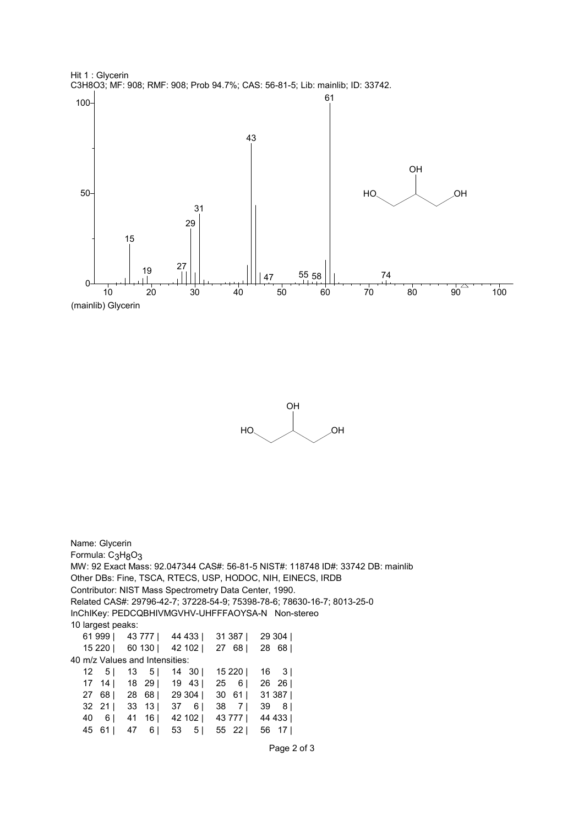

Page 2 of 3